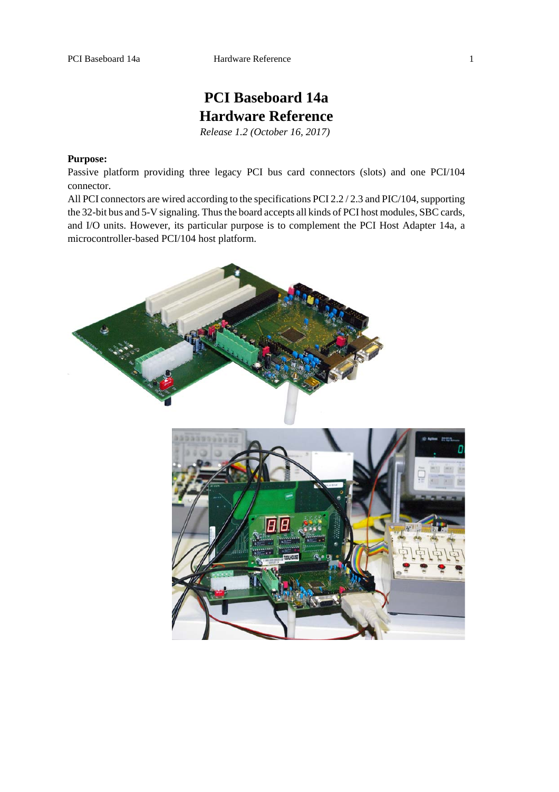# **PCI Baseboard 14a Hardware Reference**

*Release 1.2 (October 16, 2017)* 

## **Purpose:**

Passive platform providing three legacy PCI bus card connectors (slots) and one PCI/104 connector.

All PCI connectors are wired according to the specifications PCI 2.2 / 2.3 and PIC/104, supporting the 32-bit bus and 5-V signaling. Thus the board accepts all kinds of PCI host modules, SBC cards, and I/O units. However, its particular purpose is to complement the PCI Host Adapter 14a, a microcontroller-based PCI/104 host platform.

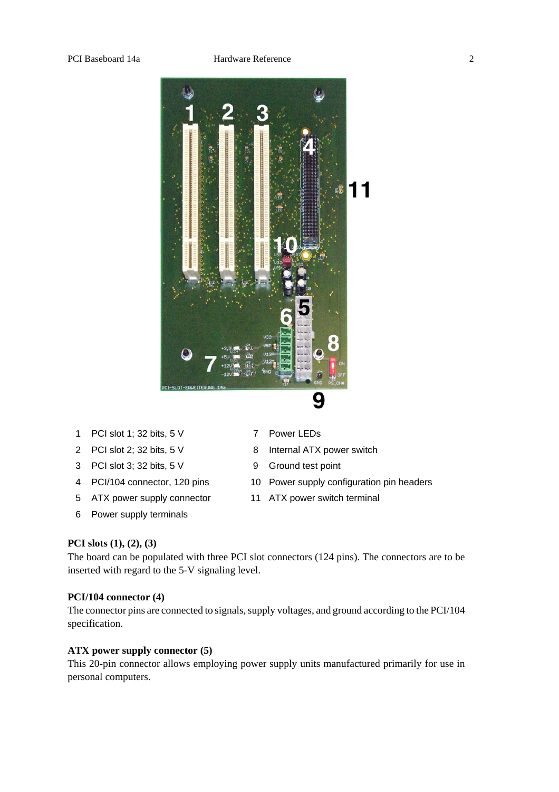

- 1 PCI slot 1; 32 bits, 5 V 7 Power LEDs
- 
- 3 PCI slot 3; 32 bits, 5 V 9 Ground test point
- 
- 
- 6 Power supply terminals
- 
- 2 PCI slot 2; 32 bits, 5 V 8 Internal ATX power switch
	-
- 4 PCI/104 connector, 120 pins 10 Power supply configuration pin headers
- 5 ATX power supply connector 11 ATX power switch terminal

## **PCI slots (1), (2), (3)**

The board can be populated with three PCI slot connectors (124 pins). The connectors are to be inserted with regard to the 5-V signaling level.

## **PCI/104 connector (4)**

The connector pins are connected to signals, supply voltages, and ground according to the PCI/104 specification.

# **ATX power supply connector (5)**

This 20-pin connector allows employing power supply units manufactured primarily for use in personal computers.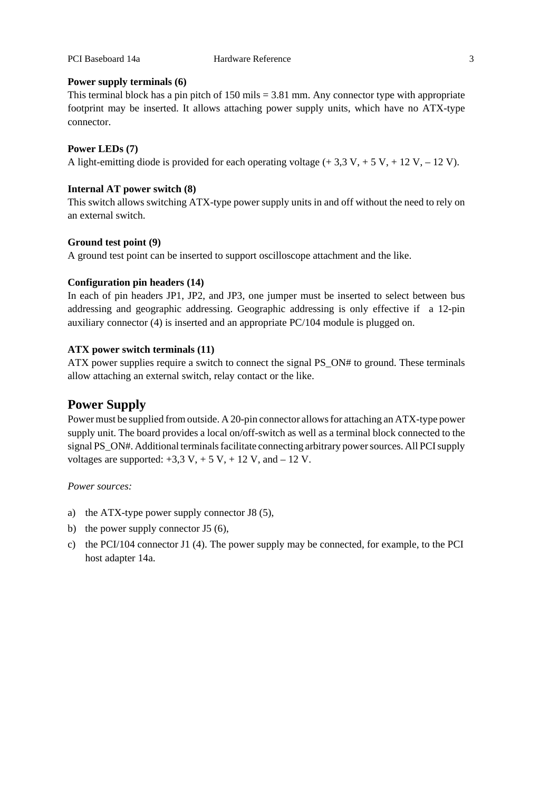## **Power supply terminals (6)**

This terminal block has a pin pitch of  $150$  mils  $= 3.81$  mm. Any connector type with appropriate footprint may be inserted. It allows attaching power supply units, which have no ATX-type connector.

# **Power LEDs (7)**

A light-emitting diode is provided for each operating voltage  $(+ 3.3 \text{ V}, +5 \text{ V}, +12 \text{ V}, -12 \text{ V})$ .

#### **Internal AT power switch (8)**

This switch allows switching ATX-type power supply units in and off without the need to rely on an external switch.

#### **Ground test point (9)**

A ground test point can be inserted to support oscilloscope attachment and the like.

# **Configuration pin headers (14)**

In each of pin headers JP1, JP2, and JP3, one jumper must be inserted to select between bus addressing and geographic addressing. Geographic addressing is only effective if a 12-pin auxiliary connector (4) is inserted and an appropriate PC/104 module is plugged on.

# **ATX power switch terminals (11)**

ATX power supplies require a switch to connect the signal PS\_ON# to ground. These terminals allow attaching an external switch, relay contact or the like.

# **Power Supply**

Power must be supplied from outside. A 20-pin connector allows for attaching an ATX-type power supply unit. The board provides a local on/off-switch as well as a terminal block connected to the signal PS\_ON#. Additional terminals facilitate connecting arbitrary power sources. All PCI supply voltages are supported:  $+3,3 \text{ V}, +5 \text{ V}, +12 \text{ V}, \text{ and } -12 \text{ V}.$ 

*Power sources:*

- a) the ATX-type power supply connector J8 (5),
- b) the power supply connector J5 (6),
- c) the PCI/104 connector J1 (4). The power supply may be connected, for example, to the PCI host adapter 14a.